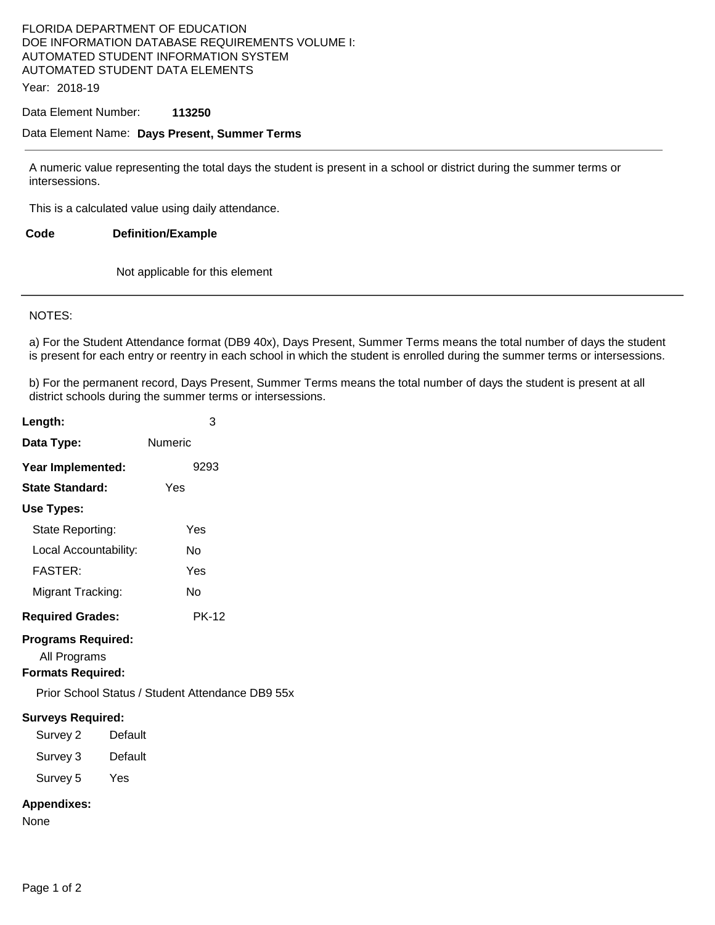## FLORIDA DEPARTMENT OF EDUCATION DOE INFORMATION DATABASE REQUIREMENTS VOLUME I: AUTOMATED STUDENT INFORMATION SYSTEM AUTOMATED STUDENT DATA ELEMENTS

Year: 2018-19

#### Data Element Number: **113250**

### Data Element Name: **Days Present, Summer Terms**

A numeric value representing the total days the student is present in a school or district during the summer terms or intersessions.

This is a calculated value using daily attendance.

**Code Definition/Example** 

Not applicable for this element

#### NOTES:

a) For the Student Attendance format (DB9 40x), Days Present, Summer Terms means the total number of days the student is present for each entry or reentry in each school in which the student is enrolled during the summer terms or intersessions.

b) For the permanent record, Days Present, Summer Terms means the total number of days the student is present at all district schools during the summer terms or intersessions.

| Length:                                                               | 3                                                |
|-----------------------------------------------------------------------|--------------------------------------------------|
| Data Type:                                                            | Numeric                                          |
| Year Implemented:                                                     | 9293                                             |
| <b>State Standard:</b>                                                | Yes                                              |
| <b>Use Types:</b>                                                     |                                                  |
| State Reporting:                                                      | Yes                                              |
| Local Accountability:                                                 | No                                               |
| <b>FASTER:</b>                                                        | Yes                                              |
| Migrant Tracking:                                                     | No                                               |
| <b>Required Grades:</b>                                               | <b>PK-12</b>                                     |
| <b>Programs Required:</b><br>All Programs<br><b>Formats Required:</b> |                                                  |
|                                                                       | Prior School Status / Student Attendance DB9 55x |
| <b>Surveys Required:</b><br>Survey 2<br>Survey 3<br>Survey 5 Yes      | Default<br>Default                               |
| <b>Appendixes:</b><br>None                                            |                                                  |